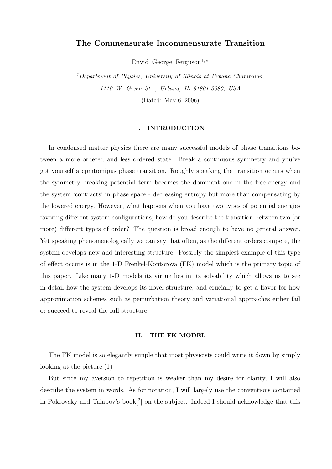# The Commensurate Incommensurate Transition

David George Ferguson<sup>1,\*</sup>

<sup>1</sup>Department of Physics, University of Illinois at Urbana-Champaign, 1110 W. Green St. , Urbana, IL 61801-3080, USA (Dated: May 6, 2006)

I. INTRODUCTION

In condensed matter physics there are many successful models of phase transitions between a more ordered and less ordered state. Break a continuous symmetry and you've got yourself a cpmtomipus phase transition. Roughly speaking the transition occurs when the symmetry breaking potential term becomes the dominant one in the free energy and the system 'contracts' in phase space - decreasing entropy but more than compensating by the lowered energy. However, what happens when you have two types of potential energies favoring different system configurations; how do you describe the transition between two (or more) different types of order? The question is broad enough to have no general answer. Yet speaking phenomenologically we can say that often, as the different orders compete, the system develops new and interesting structure. Possibly the simplest example of this type of effect occurs is in the 1-D Frenkel-Kontorova (FK) model which is the primary topic of this paper. Like many 1-D models its virtue lies in its solvability which allows us to see in detail how the system develops its novel structure; and crucially to get a flavor for how approximation schemes such as perturbation theory and variational approaches either fail or succeed to reveal the full structure.

#### II. THE FK MODEL

The FK model is so elegantly simple that most physicists could write it down by simply looking at the picture:(1)

But since my aversion to repetition is weaker than my desire for clarity, I will also describe the system in words. As for notation, I will largely use the conventions contained in Pokrovsky and Talapov's book[<sup>2</sup> ] on the subject. Indeed I should acknowledge that this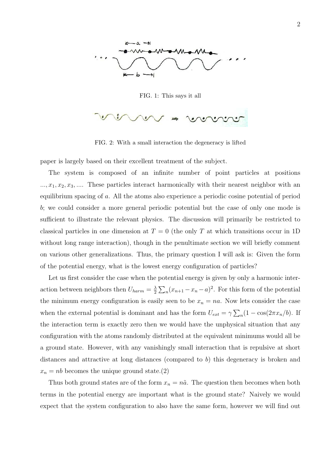

FIG. 1: This says it all



FIG. 2: With a small interaction the degeneracy is lifted

paper is largely based on their excellent treatment of the subject.

The system is composed of an infinite number of point particles at positions  $..., x_1, x_2, x_3, ...$  These particles interact harmonically with their nearest neighbor with an equilibrium spacing of a. All the atoms also experience a periodic cosine potential of period b; we could consider a more general periodic potential but the case of only one mode is sufficient to illustrate the relevant physics. The discussion will primarily be restricted to classical particles in one dimension at  $T = 0$  (the only T at which transitions occur in 1D) without long range interaction), though in the penultimate section we will briefly comment on various other generalizations. Thus, the primary question I will ask is: Given the form of the potential energy, what is the lowest energy configuration of particles?

Let us first consider the case when the potential energy is given by only a harmonic interaction between neighbors then  $U_{harm} = \frac{\lambda}{2}$ 2  $\overline{\phantom{a}}$  $_n(x_{n+1}-x_n-a)^2$ . For this form of the potential the minimum energy configuration is easily seen to be  $x_n = na$ . Now lets consider the case when the external potential is dominant and has the form  $U_{ext} = \gamma$  $\overline{ }$  $_n(1-\cos(2\pi x_n/b))$ . If the interaction term is exactly zero then we would have the unphysical situation that any configuration with the atoms randomly distributed at the equivalent minimums would all be a ground state. However, with any vanishingly small interaction that is repulsive at short distances and attractive at long distances (compared to b) this degeneracy is broken and  $x_n = nb$  becomes the unique ground state.(2)

Thus both ground states are of the form  $x_n = n\tilde{a}$ . The question then becomes when both terms in the potential energy are important what is the ground state? Naively we would expect that the system configuration to also have the same form, however we will find out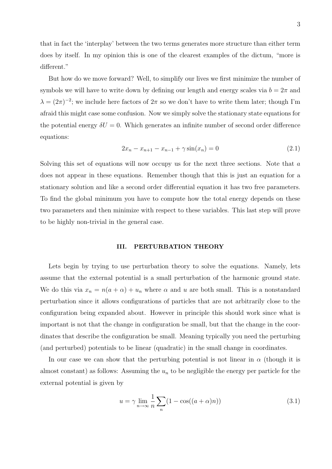that in fact the 'interplay' between the two terms generates more structure than either term does by itself. In my opinion this is one of the clearest examples of the dictum, "more is different."

But how do we move forward? Well, to simplify our lives we first minimize the number of symbols we will have to write down by defining our length and energy scales via  $b = 2\pi$  and  $\lambda = (2\pi)^{-2}$ ; we include here factors of  $2\pi$  so we don't have to write them later; though I'm afraid this might case some confusion. Now we simply solve the stationary state equations for the potential energy  $\delta U = 0$ . Which generates an infinite number of second order difference equations:

$$
2x_n - x_{n+1} - x_{n-1} + \gamma \sin(x_n) = 0 \tag{2.1}
$$

Solving this set of equations will now occupy us for the next three sections. Note that a does not appear in these equations. Remember though that this is just an equation for a stationary solution and like a second order differential equation it has two free parameters. To find the global minimum you have to compute how the total energy depends on these two parameters and then minimize with respect to these variables. This last step will prove to be highly non-trivial in the general case.

### III. PERTURBATION THEORY

Lets begin by trying to use perturbation theory to solve the equations. Namely, lets assume that the external potential is a small perturbation of the harmonic ground state. We do this via  $x_n = n(a + \alpha) + u_n$  where  $\alpha$  and  $u$  are both small. This is a nonstandard perturbation since it allows configurations of particles that are not arbitrarily close to the configuration being expanded about. However in principle this should work since what is important is not that the change in configuration be small, but that the change in the coordinates that describe the configuration be small. Meaning typically you need the perturbing (and perturbed) potentials to be linear (quadratic) in the small change in coordinates.

In our case we can show that the perturbing potential is not linear in  $\alpha$  (though it is almost constant) as follows: Assuming the  $u_n$  to be negligible the energy per particle for the external potential is given by

$$
u = \gamma \lim_{n \to \infty} \frac{1}{n} \sum_{n} (1 - \cos((a + \alpha)n))
$$
\n(3.1)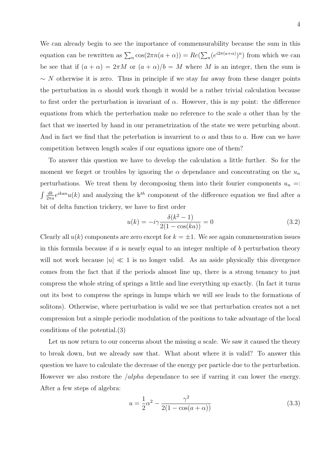We can already begin to see the importance of commensurability because the sum in this equation can be rewritten as  $\sum_{n} \cos(2\pi n(a + \alpha)) = Re($  $\overline{ }$  $_n(e^{i2\pi(a+\alpha)})^n)$  from which we can be see that if  $(a + \alpha) = 2\pi M$  or  $(a + \alpha)/b = M$  where M is an integer, then the sum is  $\sim N$  otherwise it is zero. Thus in principle if we stay far away from these danger points the perturbation in  $\alpha$  should work though it would be a rather trivial calculation because to first order the perturbation is invariant of  $\alpha$ . However, this is my point: the difference equations from which the perterbation make no reference to the scale a other than by the fact that we inserted by hand in our perametrization of the state we were peturbing about. And in fact we find that the peterbation is invarrient to  $\alpha$  and thus to a. How can we have competition between length scales if our equations ignore one of them?

To answer this question we have to develop the calculation a little further. So for the moment we forget or troubles by ignoring the  $\alpha$  dependance and concentrating on the  $u_n$ perturbations. We treat them by decomposing them into their fourier components  $u_n =$ :  $\int d^2k$  $\frac{dk}{2\pi a}e^{ikan}u(k)$  and analyzing the k<sup>th</sup> component of the difference equation we find after a bit of delta function trickery, we have to first order

$$
u(k) = -i\gamma \frac{\delta(k^2 - 1)}{2(1 - \cos(ka))} = 0
$$
\n(3.2)

Clearly all  $u(k)$  components are zero except for  $k = \pm 1$ . We see again commensuration issues in this formula because if  $\alpha$  is nearly equal to an integer multiple of  $\delta$  perturbation theory will not work because  $|u| \ll 1$  is no longer valid. As an aside physically this divergence comes from the fact that if the periods almost line up, there is a strong tenancy to just compress the whole string of springs a little and line everything up exactly. (In fact it turns out its best to compress the springs in lumps which we will see leads to the formations of solitons). Otherwise, where perturbation is valid we see that perturbation creates not a net compression but a simple periodic modulation of the positions to take advantage of the local conditions of the potential.(3)

Let us now return to our concerns about the missing  $a$  scale. We saw it caused the theory to break down, but we already saw that. What about where it is valid? To answer this question we have to calculate the decrease of the energy per particle due to the perturbation. However we also restore the *falpha* dependance to see if varring it can lower the energy. After a few steps of algebra:

$$
u = \frac{1}{2}\alpha^2 - \frac{\gamma^2}{2(1 - \cos(a + \alpha))}
$$
\n(3.3)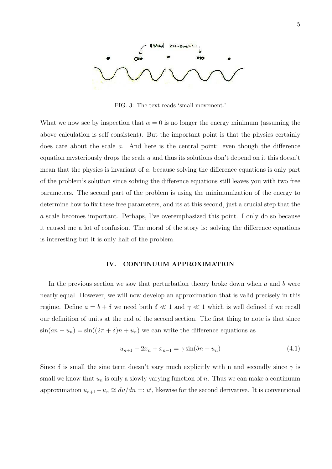

FIG. 3: The text reads 'small movement.'

What we now see by inspection that  $\alpha = 0$  is no longer the energy minimum (assuming the above calculation is self consistent). But the important point is that the physics certainly does care about the scale a. And here is the central point: even though the difference equation mysteriously drops the scale  $a$  and thus its solutions don't depend on it this doesn't mean that the physics is invariant of  $a$ , because solving the difference equations is only part of the problem's solution since solving the difference equations still leaves you with two free parameters. The second part of the problem is using the minimumization of the energy to determine how to fix these free parameters, and its at this second, just a crucial step that the a scale becomes important. Perhaps, I've overemphasized this point. I only do so because it caused me a lot of confusion. The moral of the story is: solving the difference equations is interesting but it is only half of the problem.

#### IV. CONTINUUM APPROXIMATION

In the previous section we saw that perturbation theory broke down when  $a$  and  $b$  were nearly equal. However, we will now develop an approximation that is valid precisely in this regime. Define  $a = b + \delta$  we need both  $\delta \ll 1$  and  $\gamma \ll 1$  which is well defined if we recall our definition of units at the end of the second section. The first thing to note is that since  $\sin(an+u_n)=\sin((2\pi+\delta)n+u_n)$  we can write the difference equations as

$$
u_{n+1} - 2x_n + x_{n-1} = \gamma \sin(\delta n + u_n)
$$
\n(4.1)

Since  $\delta$  is small the sine term doesn't vary much explicitly with n and secondly since  $\gamma$  is small we know that  $u_n$  is only a slowly varying function of n. Thus we can make a continuum approximation  $u_{n+1} - u_n \cong du/dn =: u'$ , likewise for the second derivative. It is conventional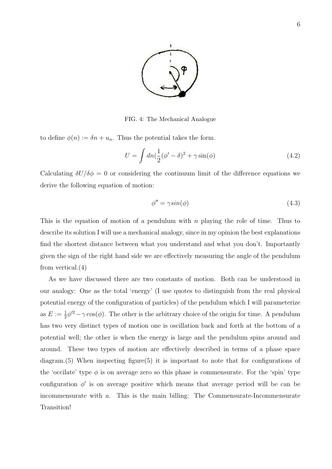

FIG. 4: The Mechanical Analogue

to define  $\phi(n) := \delta n + u_n$ . Thus the potential takes the form.

$$
U = \int dn(\frac{1}{2}(\phi' - \delta)^2 + \gamma \sin(\phi)
$$
 (4.2)

Calculating  $\delta U/\delta \phi = 0$  or considering the continuum limit of the difference equations we derive the following equation of motion:

$$
\phi'' = \gamma \sin(\phi) \tag{4.3}
$$

This is the equation of motion of a pendulum with  $n$  playing the role of time. Thus to describe its solution I will use a mechanical analogy, since in my opinion the best explanations find the shortest distance between what you understand and what you don't. Importantly given the sign of the right hand side we are effectively measuring the angle of the pendulum from vertical.(4)

As we have discussed there are two constants of motion. Both can be understood in our analogy: One as the total 'energy' (I use quotes to distinguish from the real physical potential energy of the configuration of particles) of the pendulum which I will parameterize as  $E := \frac{1}{2}\phi'^2 - \gamma \cos(\phi)$ . The other is the arbitrary choice of the origin for time. A pendulum has two very distinct types of motion one is oscillation back and forth at the bottom of a potential well; the other is when the energy is large and the pendulum spins around and around. These two types of motion are effectively described in terms of a phase space diagram.(5) When inspecting figure(5) it is important to note that for configurations of the 'occilate' type  $\phi$  is on average zero so this phase is commensurate. For the 'spin' type configuration  $\phi'$  is on average positive which means that average period will be can be incommensurate with a. This is the main billing: The Commensurate-Incommensurate Transition!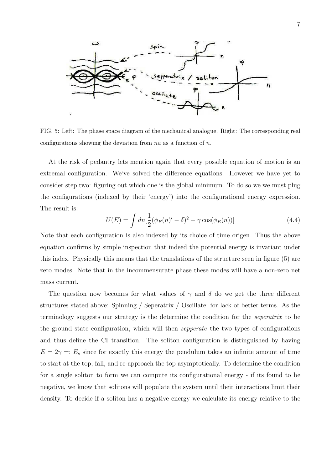

FIG. 5: Left: The phase space diagram of the mechanical analogue. Right: The corresponding real configurations showing the deviation from  $na$  as a function of  $n$ .

At the risk of pedantry lets mention again that every possible equation of motion is an extremal configuration. We've solved the difference equations. However we have yet to consider step two: figuring out which one is the global minimum. To do so we we must plug the configurations (indexed by their 'energy') into the configurational energy expression. The result is:

$$
U(E) = \int dn[\frac{1}{2}(\phi_E(n) - \delta)^2 - \gamma \cos(\phi_E(n))]
$$
\n(4.4)

Note that each configuration is also indexed by its choice of time origen. Thus the above equation confirms by simple inspection that indeed the potential energy is invariant under this index. Physically this means that the translations of the structure seen in figure (5) are zero modes. Note that in the incommensurate phase these modes will have a non-zero net mass current.

The question now becomes for what values of  $\gamma$  and  $\delta$  do we get the three different structures stated above: Spinning / Seperatrix / Oscillate; for lack of better terms. As the terminology suggests our strategy is the determine the condition for the seperatrix to be the ground state configuration, which will then sepperate the two types of configurations and thus define the CI transition. The soliton configuration is distinguished by having  $E = 2\gamma =: E_s$  since for exactly this energy the pendulum takes an infinite amount of time to start at the top, fall, and re-approach the top asymptotically. To determine the condition for a single soliton to form we can compute its configurational energy - if its found to be negative, we know that solitons will populate the system until their interactions limit their density. To decide if a soliton has a negative energy we calculate its energy relative to the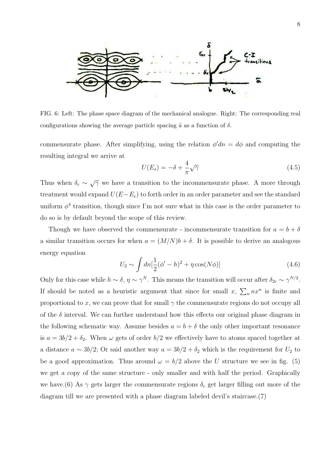

FIG. 6: Left: The phase space diagram of the mechanical analogue. Right: The corresponding real configurations showing the average particle spacing  $\tilde{a}$  as a function of  $\delta$ .

commensurate phase. After simplifying, using the relation  $\phi' dn = d\phi$  and computing the resulting integral we arrive at

$$
U(E_s) = -\delta + \frac{4}{\pi}\sqrt{\gamma} \tag{4.5}
$$

Thus when  $\delta_c \sim \sqrt{\gamma}$  we have a transition to the incommensurate phase. A more through treatment would expand  $U(E-E_c)$  to forth order in an order parameter and see the standard uniform  $\phi^4$  transition, though since I'm not sure what in this case is the order parameter to do so is by default beyond the scope of this review.

Though we have observed the commensurate - incommensurate transition for  $a = b + \delta$ a similar transition occurs for when  $a = (M/N)b + \delta$ . It is possible to derive an analogous energy equation

$$
U_2 \sim \int dn[\frac{1}{2}(\phi' - h)^2 + \eta \cos(N\phi)]
$$
 (4.6)

Only for this case while  $h \sim \delta$ ,  $\eta \sim \gamma^N$ . This means the transition will occur after  $\delta_{2c} \sim \gamma^{N/2}$ . If should be noted as a heuristic argument that since for small x,  $\sum_{n} nx^{n}$  is finite and  $\overline{ }$ proportional to x, we can prove that for small  $\gamma$  the commensurate regions do not occupy all of the  $\delta$  interval. We can further understand how this effects our original phase diagram in the following schematic way. Assume besides  $a = b + \delta$  the only other important resonance is  $a = 3b/2 + \delta_2$ . When  $\omega$  gets of order  $b/2$  we effectively have to atoms spaced together at a distance  $a \sim 3b/2$ ; Or said another way  $a = 3b/2 + \delta_2$  which is the requirement for  $U_2$  to be a good approximation. Thus around  $\omega = b/2$  above the U structure we see in fig. (5) we get a copy of the same structure - only smaller and with half the period. Graphically we have.(6) As  $\gamma$  gets larger the commensurate regions  $\delta_c$  get larger filling out more of the diagram till we are presented with a phase diagram labeled devil's staircase.(7)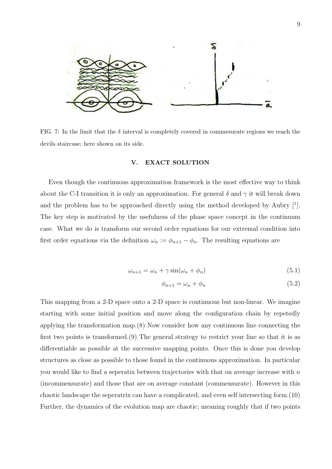

FIG. 7: In the limit that the  $\delta$  interval is completely covered in commesurate regions we reach the devils staircase; here shown on its side.

### V. EXACT SOLUTION

Even though the continuous approximation framework is the most effective way to think about the C-I transition it is only an approximation. For general  $\delta$  and  $\gamma$  it will break down and the problem has to be approached directly using the method developed by Aubry  $[1]$ . The key step is motivated by the usefulness of the phase space concept in the continuum case. What we do is transform our second order equations for our extremal condition into first order equations via the definition  $\omega_n := \phi_{n+1} - \phi_n$ . The resulting equations are

$$
\omega_{n+1} = \omega_n + \gamma \sin(\omega_n + \phi_n) \tag{5.1}
$$

$$
\phi_{n+1} = \omega_n + \phi_n \tag{5.2}
$$

This mapping from a 2-D space onto a 2-D space is continuous but non-linear. We imagine starting with some initial position and move along the configuration chain by repetedly applying the transformation map.(8) Now consider how any continuous line connecting the first two points is transformed.(9) The general strategy to restrict your line so that it is as differentiable as possible at the successive mapping points. Once this is done you develop structures as close as possible to those found in the continuous approximation. In particular you would like to find a seperatix between trajectories with that on average increase with  $n$ (incommensurate) and those that are on average constant (commensurate). However in this chaotic landscape the seperatrix can have a complicated, and even self intersecting form.(10) Further, the dynamics of the evolution map are chaotic; meaning roughly that if two points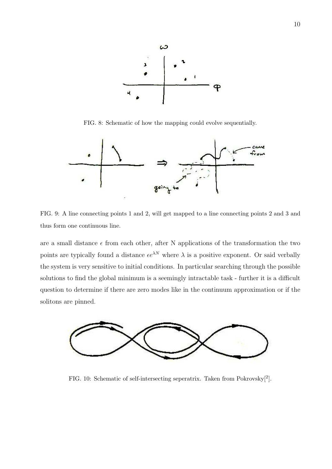

FIG. 8: Schematic of how the mapping could evolve sequentially.



FIG. 9: A line connecting points 1 and 2, will get mapped to a line connecting points 2 and 3 and thus form one continuous line.

are a small distance  $\epsilon$  from each other, after N applications of the transformation the two points are typically found a distance  $\epsilon e^{\lambda N}$  where  $\lambda$  is a positive exponent. Or said verbally the system is very sensitive to initial conditions. In particular searching through the possible solutions to find the global minimum is a seemingly intractable task - further it is a difficult question to determine if there are zero modes like in the continuum approximation or if the solitons are pinned.



FIG. 10: Schematic of self-intersecting seperatrix. Taken from Pokrovsky<sup>[2]</sup>.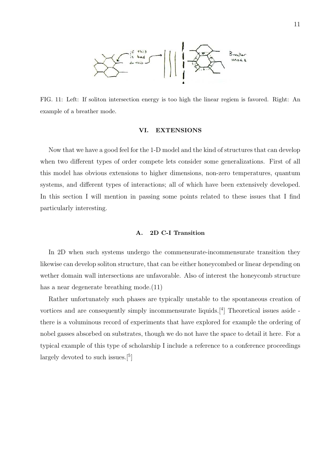

FIG. 11: Left: If soliton intersection energy is too high the linear regiem is favored. Right: An example of a breather mode.

#### VI. EXTENSIONS

Now that we have a good feel for the 1-D model and the kind of structures that can develop when two different types of order compete lets consider some generalizations. First of all this model has obvious extensions to higher dimensions, non-zero temperatures, quantum systems, and different types of interactions; all of which have been extensively developed. In this section I will mention in passing some points related to these issues that I find particularly interesting.

#### A. 2D C-I Transition

In 2D when such systems undergo the commensurate-incommensurate transition they likewise can develop soliton structure, that can be either honeycombed or linear depending on wether domain wall intersections are unfavorable. Also of interest the honeycomb structure has a near degenerate breathing mode.(11)

Rather unfortunately such phases are typically unstable to the spontaneous creation of vortices and are consequently simply incommensurate liquids.<sup>[4]</sup> Theoretical issues aside there is a voluminous record of experiments that have explored for example the ordering of nobel gasses absorbed on substrates, though we do not have the space to detail it here. For a typical example of this type of scholarship I include a reference to a conference proceedings largely devoted to such issues.<sup>[5]</sup>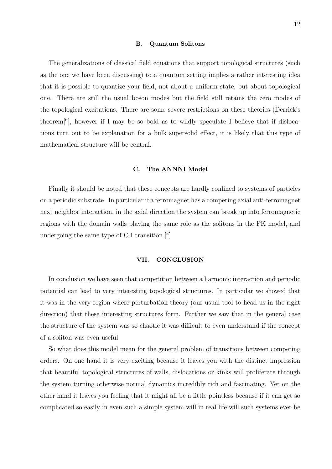#### B. Quantum Solitons

The generalizations of classical field equations that support topological structures (such as the one we have been discussing) to a quantum setting implies a rather interesting idea that it is possible to quantize your field, not about a uniform state, but about topological one. There are still the usual boson modes but the field still retains the zero modes of the topological excitations. There are some severe restrictions on these theories (Derrick's theorem<sup>[6</sup>], however if I may be so bold as to wildly speculate I believe that if dislocations turn out to be explanation for a bulk supersolid effect, it is likely that this type of mathematical structure will be central.

# C. The ANNNI Model

Finally it should be noted that these concepts are hardly confined to systems of particles on a periodic substrate. In particular if a ferromagnet has a competing axial anti-ferromagnet next neighbor interaction, in the axial direction the system can break up into ferromagnetic regions with the domain walls playing the same role as the solitons in the FK model, and undergoing the same type of C-I transition.<sup>[3]</sup>

## VII. CONCLUSION

In conclusion we have seen that competition between a harmonic interaction and periodic potential can lead to very interesting topological structures. In particular we showed that it was in the very region where perturbation theory (our usual tool to head us in the right direction) that these interesting structures form. Further we saw that in the general case the structure of the system was so chaotic it was difficult to even understand if the concept of a soliton was even useful.

So what does this model mean for the general problem of transitions between competing orders. On one hand it is very exciting because it leaves you with the distinct impression that beautiful topological structures of walls, dislocations or kinks will proliferate through the system turning otherwise normal dynamics incredibly rich and fascinating. Yet on the other hand it leaves you feeling that it might all be a little pointless because if it can get so complicated so easily in even such a simple system will in real life will such systems ever be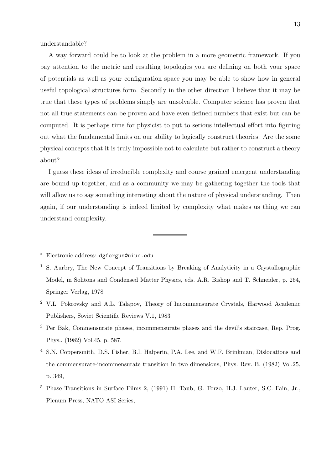understandable?

A way forward could be to look at the problem in a more geometric framework. If you pay attention to the metric and resulting topologies you are defining on both your space of potentials as well as your configuration space you may be able to show how in general useful topological structures form. Secondly in the other direction I believe that it may be true that these types of problems simply are unsolvable. Computer science has proven that not all true statements can be proven and have even defined numbers that exist but can be computed. It is perhaps time for physicist to put to serious intellectual effort into figuring out what the fundamental limits on our ability to logically construct theories. Are the some physical concepts that it is truly impossible not to calculate but rather to construct a theory about?

I guess these ideas of irreducible complexity and course grained emergent understanding are bound up together, and as a community we may be gathering together the tools that will allow us to say something interesting about the nature of physical understanding. Then again, if our understanding is indeed limited by complexity what makes us thing we can understand complexity.

<sup>∗</sup> Electronic address: dgfergus@uiuc.edu

<sup>1</sup> S. Aurbry, The New Concept of Transitions by Breaking of Analyticity in a Crystallographic Model, in Solitons and Condensed Matter Physics, eds. A.R. Bishop and T. Schneider, p. 264, Springer Verlag, 1978

<sup>2</sup> V.L. Pokrovsky and A.L. Talapov, Theory of Incommensurate Crystals, Harwood Academic Publishers, Soviet Scientific Reviews V.1, 1983

<sup>3</sup> Per Bak, Commensurate phases, incommensurate phases and the devil's staircase, Rep. Prog. Phys., (1982) Vol.45, p. 587,

<sup>4</sup> S.N. Coppersmith, D.S. Fisher, B.I. Halperin, P.A. Lee, and W.F. Brinkman, Dislocations and the commensurate-incommensurate transition in two dimensions, Phys. Rev. B, (1982) Vol.25, p. 349,

<sup>5</sup> Phase Transitions in Surface Films 2, (1991) H. Taub, G. Torzo, H.J. Lauter, S.C. Fain, Jr., Plenum Press, NATO ASI Series,